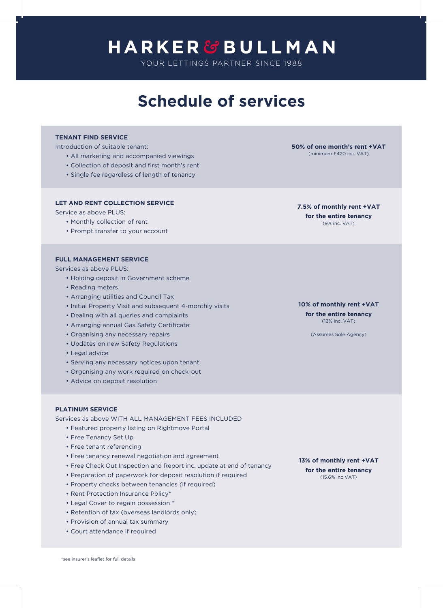# **HARKER&BULLMAN**

YOUR LETTINGS PARTNER SINCE 1988

## **Schedule of services**

#### **TENANT FIND SERVICE**

Introduction of suitable tenant:

- All marketing and accompanied viewings
- Collection of deposit and first month's rent
- Single fee regardless of length of tenancy

#### **LET AND RENT COLLECTION SERVICE**

Service as above PLUS:

- Monthly collection of rent
- Prompt transfer to your account

#### **FULL MANAGEMENT SERVICE**

Services as above PLUS:

- Holding deposit in Government scheme
- Reading meters
- Arranging utilities and Council Tax
- Initial Property Visit and subsequent 4-monthly visits
- Dealing with all queries and complaints
- Arranging annual Gas Safety Certificate
- Organising any necessary repairs
- Updates on new Safety Regulations
- Legal advice
- Serving any necessary notices upon tenant
- Organising any work required on check-out
- Advice on deposit resolution

#### **PLATINUM SERVICE**

Services as above WITH ALL MANAGEMENT FEES INCLUDED

- Featured property listing on Rightmove Portal
- Free Tenancy Set Up
- Free tenant referencing
- Free tenancy renewal negotiation and agreement
- Free Check Out Inspection and Report inc. update at end of tenancy
- Preparation of paperwork for deposit resolution if required
- Property checks between tenancies (if required)
- Rent Protection Insurance Policy\*
- Legal Cover to regain possession \*
- Retention of tax (overseas landlords only)
- Provision of annual tax summary
- Court attendance if required

**13% of monthly rent +VAT for the entire tenancy** (15.6% inc VAT)

**7.5% of monthly rent +VAT for the entire tenancy** (9% inc. VAT)

**10% of monthly rent +VAT for the entire tenancy** (12% inc. VAT)

(Assumes Sole Agency)

**50% of one month's rent +VAT** (minimum £420 inc. VAT)

\*see insurer's leaflet for full details